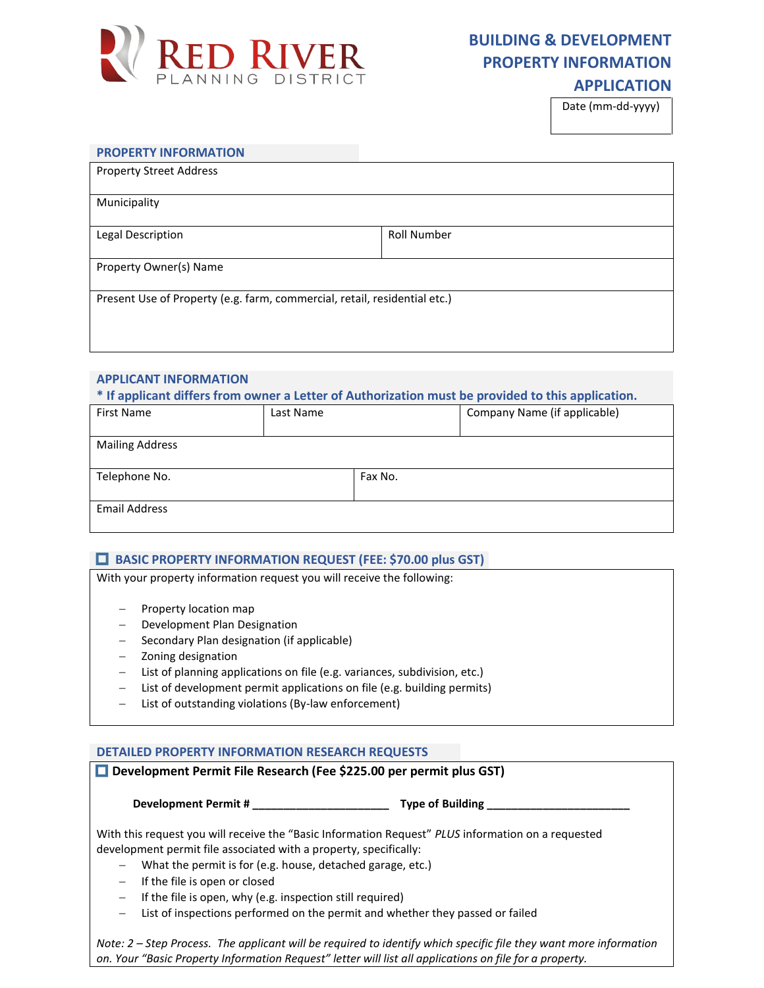

# **BUILDING & DEVELOPMENT PROPERTY INFORMATION**

## **APPLICATION**

Date (mm-dd-yyyy)

#### **PROPERTY INFORMATION**

| <b>Property Street Address</b>                                            |                    |  |  |
|---------------------------------------------------------------------------|--------------------|--|--|
| Municipality                                                              |                    |  |  |
| Legal Description                                                         | <b>Roll Number</b> |  |  |
| Property Owner(s) Name                                                    |                    |  |  |
| Present Use of Property (e.g. farm, commercial, retail, residential etc.) |                    |  |  |
|                                                                           |                    |  |  |

## **APPLICANT INFORMATION**

**\* If applicant differs from owner a Letter of Authorization must be provided to this application.** 

| <b>First Name</b>      | Last Name |         | Company Name (if applicable) |
|------------------------|-----------|---------|------------------------------|
| <b>Mailing Address</b> |           |         |                              |
| Telephone No.          |           | Fax No. |                              |
| <b>Email Address</b>   |           |         |                              |

#### **BASIC PROPERTY INFORMATION REQUEST (FEE: \$70.00 plus GST)**

With your property information request you will receive the following:

- Property location map
- Development Plan Designation
- Secondary Plan designation (if applicable)
- Zoning designation
- List of planning applications on file (e.g. variances, subdivision, etc.)
- List of development permit applications on file (e.g. building permits)
- List of outstanding violations (By-law enforcement)

#### **DETAILED PROPERTY INFORMATION RESEARCH REQUESTS**

|                                                           | Development Permit #<br><b>Type of Building Type of Building</b>                                   |
|-----------------------------------------------------------|----------------------------------------------------------------------------------------------------|
|                                                           | With this request you will receive the "Basic Information Request" PLUS information on a requested |
|                                                           | development permit file associated with a property, specifically:                                  |
| $\qquad \qquad -$                                         | What the permit is for (e.g. house, detached garage, etc.)                                         |
| If the file is open or closed<br>$\overline{\phantom{0}}$ |                                                                                                    |
| $\qquad \qquad -$                                         | If the file is open, why (e.g. inspection still required)                                          |
| $\qquad \qquad -$                                         | List of inspections performed on the permit and whether they passed or failed                      |

*Note: 2 – Step Process. The applicant will be required to identify which specific file they want more information on. Your "Basic Property Information Request" letter will list all applications on file for a property.*